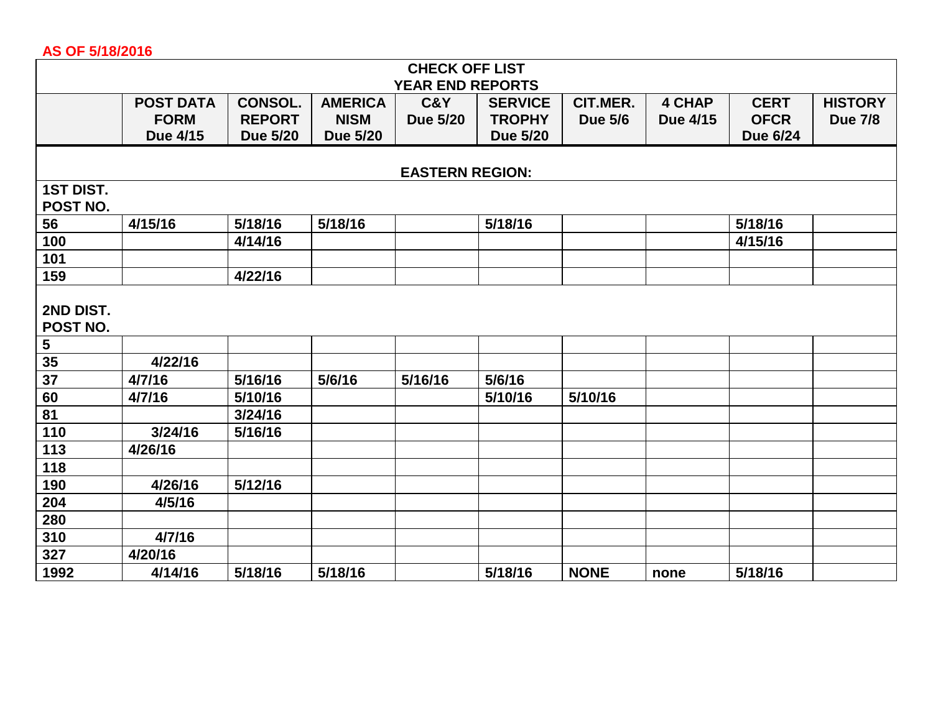## **AS OF 5/18/2016**

| <b>CHECK OFF LIST</b>   |                  |                 |                 |                 |                 |                |               |                 |                |  |  |  |
|-------------------------|------------------|-----------------|-----------------|-----------------|-----------------|----------------|---------------|-----------------|----------------|--|--|--|
| <b>YEAR END REPORTS</b> |                  |                 |                 |                 |                 |                |               |                 |                |  |  |  |
|                         | <b>POST DATA</b> | <b>CONSOL.</b>  | <b>AMERICA</b>  | <b>C&amp;Y</b>  | <b>SERVICE</b>  | CIT.MER.       | <b>4 CHAP</b> | <b>CERT</b>     | <b>HISTORY</b> |  |  |  |
|                         | <b>FORM</b>      | <b>REPORT</b>   | <b>NISM</b>     | <b>Due 5/20</b> | <b>TROPHY</b>   | <b>Due 5/6</b> | Due 4/15      | <b>OFCR</b>     | <b>Due 7/8</b> |  |  |  |
|                         | Due 4/15         | <b>Due 5/20</b> | <b>Due 5/20</b> |                 | <b>Due 5/20</b> |                |               | <b>Due 6/24</b> |                |  |  |  |
|                         |                  |                 |                 |                 |                 |                |               |                 |                |  |  |  |
| <b>EASTERN REGION:</b>  |                  |                 |                 |                 |                 |                |               |                 |                |  |  |  |
| <b>1ST DIST.</b>        |                  |                 |                 |                 |                 |                |               |                 |                |  |  |  |
| POST NO.                |                  |                 |                 |                 |                 |                |               |                 |                |  |  |  |
| 56                      | 4/15/16          | 5/18/16         | 5/18/16         |                 | 5/18/16         |                |               | 5/18/16         |                |  |  |  |
| 100                     |                  | 4/14/16         |                 |                 |                 |                |               | 4/15/16         |                |  |  |  |
| 101                     |                  |                 |                 |                 |                 |                |               |                 |                |  |  |  |
| 159                     |                  | 4/22/16         |                 |                 |                 |                |               |                 |                |  |  |  |
| 2ND DIST.               |                  |                 |                 |                 |                 |                |               |                 |                |  |  |  |
| POST NO.                |                  |                 |                 |                 |                 |                |               |                 |                |  |  |  |
| $\overline{\mathbf{5}}$ |                  |                 |                 |                 |                 |                |               |                 |                |  |  |  |
| 35                      | 4/22/16          |                 |                 |                 |                 |                |               |                 |                |  |  |  |
| 37                      | 4/7/16           | 5/16/16         | 5/6/16          | 5/16/16         | 5/6/16          |                |               |                 |                |  |  |  |
| 60                      | 4/7/16           | 5/10/16         |                 |                 | 5/10/16         | 5/10/16        |               |                 |                |  |  |  |
| 81                      |                  | 3/24/16         |                 |                 |                 |                |               |                 |                |  |  |  |
| 110                     | 3/24/16          | 5/16/16         |                 |                 |                 |                |               |                 |                |  |  |  |
| 113                     | 4/26/16          |                 |                 |                 |                 |                |               |                 |                |  |  |  |
| 118                     |                  |                 |                 |                 |                 |                |               |                 |                |  |  |  |
| 190                     | 4/26/16          | 5/12/16         |                 |                 |                 |                |               |                 |                |  |  |  |
| 204                     | 4/5/16           |                 |                 |                 |                 |                |               |                 |                |  |  |  |
| 280                     |                  |                 |                 |                 |                 |                |               |                 |                |  |  |  |
| 310                     | 4/7/16           |                 |                 |                 |                 |                |               |                 |                |  |  |  |
| 327                     | 4/20/16          |                 |                 |                 |                 |                |               |                 |                |  |  |  |
| 1992                    | 4/14/16          | 5/18/16         | 5/18/16         |                 | 5/18/16         | <b>NONE</b>    | none          | 5/18/16         |                |  |  |  |
|                         |                  |                 |                 |                 |                 |                |               |                 |                |  |  |  |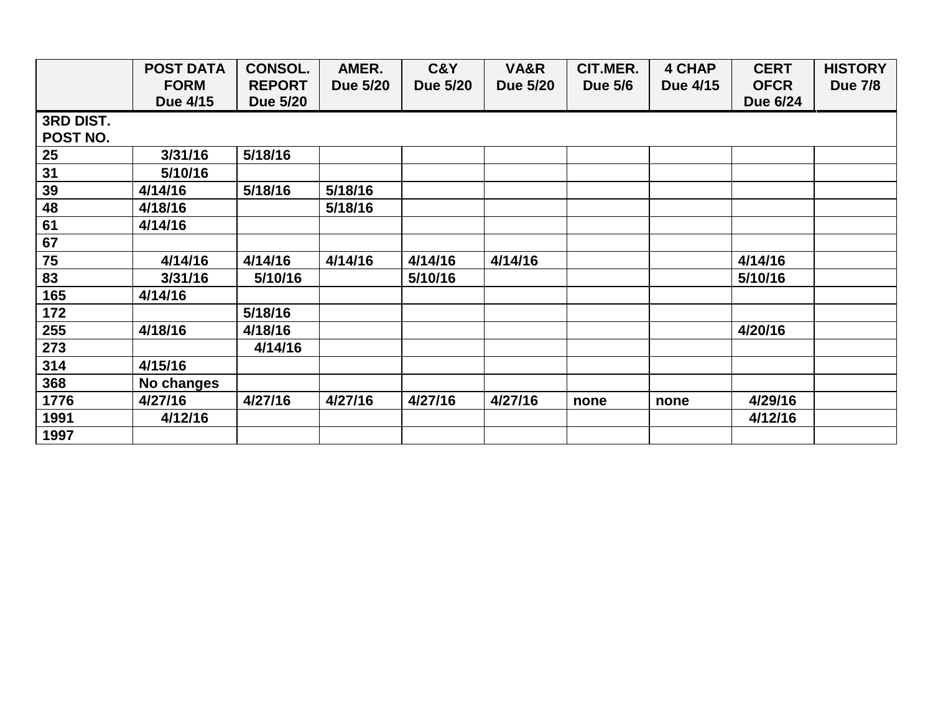|           | <b>POST DATA</b> | <b>CONSOL.</b>  | AMER.           | C&Y             | VA&R            | CIT.MER.       | <b>4 CHAP</b> | <b>CERT</b> | <b>HISTORY</b> |
|-----------|------------------|-----------------|-----------------|-----------------|-----------------|----------------|---------------|-------------|----------------|
|           | <b>FORM</b>      | <b>REPORT</b>   | <b>Due 5/20</b> | <b>Due 5/20</b> | <b>Due 5/20</b> | <b>Due 5/6</b> | Due 4/15      | <b>OFCR</b> | <b>Due 7/8</b> |
|           | Due 4/15         | <b>Due 5/20</b> |                 |                 |                 |                |               | Due 6/24    |                |
| 3RD DIST. |                  |                 |                 |                 |                 |                |               |             |                |
| POST NO.  |                  |                 |                 |                 |                 |                |               |             |                |
| 25        | 3/31/16          | 5/18/16         |                 |                 |                 |                |               |             |                |
| 31        | 5/10/16          |                 |                 |                 |                 |                |               |             |                |
| 39        | 4/14/16          | 5/18/16         | 5/18/16         |                 |                 |                |               |             |                |
| 48        | 4/18/16          |                 | 5/18/16         |                 |                 |                |               |             |                |
| 61        | 4/14/16          |                 |                 |                 |                 |                |               |             |                |
| 67        |                  |                 |                 |                 |                 |                |               |             |                |
| 75        | 4/14/16          | 4/14/16         | 4/14/16         | 4/14/16         | 4/14/16         |                |               | 4/14/16     |                |
| 83        | 3/31/16          | 5/10/16         |                 | 5/10/16         |                 |                |               | 5/10/16     |                |
| 165       | 4/14/16          |                 |                 |                 |                 |                |               |             |                |
| 172       |                  | 5/18/16         |                 |                 |                 |                |               |             |                |
| 255       | 4/18/16          | 4/18/16         |                 |                 |                 |                |               | 4/20/16     |                |
| 273       |                  | 4/14/16         |                 |                 |                 |                |               |             |                |
| 314       | 4/15/16          |                 |                 |                 |                 |                |               |             |                |
| 368       | No changes       |                 |                 |                 |                 |                |               |             |                |
| 1776      | 4/27/16          | 4/27/16         | 4/27/16         | 4/27/16         | 4/27/16         | none           | none          | 4/29/16     |                |
| 1991      | 4/12/16          |                 |                 |                 |                 |                |               | 4/12/16     |                |
| 1997      |                  |                 |                 |                 |                 |                |               |             |                |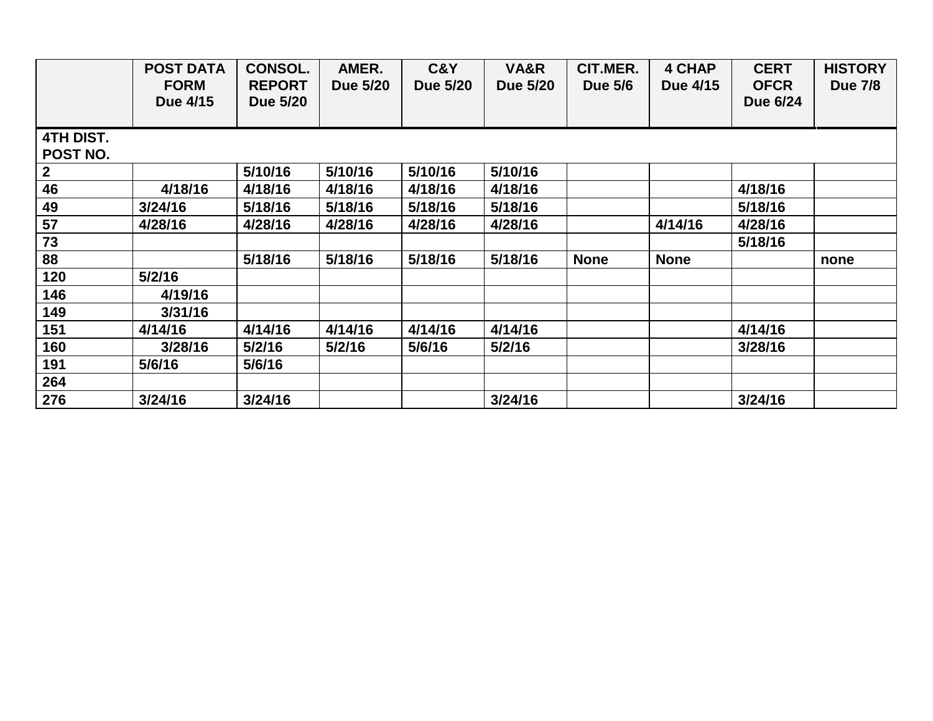|                              | <b>POST DATA</b><br><b>FORM</b><br>Due 4/15 | <b>CONSOL.</b><br><b>REPORT</b><br><b>Due 5/20</b> | AMER.<br>Due 5/20 | C&Y<br><b>Due 5/20</b> | VA&R<br>Due 5/20 | CIT.MER.<br><b>Due 5/6</b> | <b>4 CHAP</b><br>Due 4/15 | <b>CERT</b><br><b>OFCR</b><br>Due 6/24 | <b>HISTORY</b><br><b>Due 7/8</b> |
|------------------------------|---------------------------------------------|----------------------------------------------------|-------------------|------------------------|------------------|----------------------------|---------------------------|----------------------------------------|----------------------------------|
| <b>4TH DIST.</b><br>POST NO. |                                             |                                                    |                   |                        |                  |                            |                           |                                        |                                  |
| $\boldsymbol{2}$             |                                             | 5/10/16                                            | 5/10/16           | 5/10/16                | 5/10/16          |                            |                           |                                        |                                  |
| 46                           | 4/18/16                                     | 4/18/16                                            | 4/18/16           | 4/18/16                | 4/18/16          |                            |                           | 4/18/16                                |                                  |
| 49                           | 3/24/16                                     | 5/18/16                                            | 5/18/16           | 5/18/16                | 5/18/16          |                            |                           | 5/18/16                                |                                  |
| 57                           | 4/28/16                                     | 4/28/16                                            | 4/28/16           | 4/28/16                | 4/28/16          |                            | 4/14/16                   | 4/28/16                                |                                  |
| 73                           |                                             |                                                    |                   |                        |                  |                            |                           | 5/18/16                                |                                  |
| 88                           |                                             | 5/18/16                                            | 5/18/16           | 5/18/16                | 5/18/16          | <b>None</b>                | <b>None</b>               |                                        | none                             |
| 120                          | 5/2/16                                      |                                                    |                   |                        |                  |                            |                           |                                        |                                  |
| 146                          | 4/19/16                                     |                                                    |                   |                        |                  |                            |                           |                                        |                                  |
| 149                          | 3/31/16                                     |                                                    |                   |                        |                  |                            |                           |                                        |                                  |
| 151                          | 4/14/16                                     | 4/14/16                                            | 4/14/16           | 4/14/16                | 4/14/16          |                            |                           | 4/14/16                                |                                  |
| 160                          | 3/28/16                                     | 5/2/16                                             | 5/2/16            | 5/6/16                 | 5/2/16           |                            |                           | 3/28/16                                |                                  |
| 191                          | 5/6/16                                      | 5/6/16                                             |                   |                        |                  |                            |                           |                                        |                                  |
| 264                          |                                             |                                                    |                   |                        |                  |                            |                           |                                        |                                  |
| 276                          | 3/24/16                                     | 3/24/16                                            |                   |                        | 3/24/16          |                            |                           | 3/24/16                                |                                  |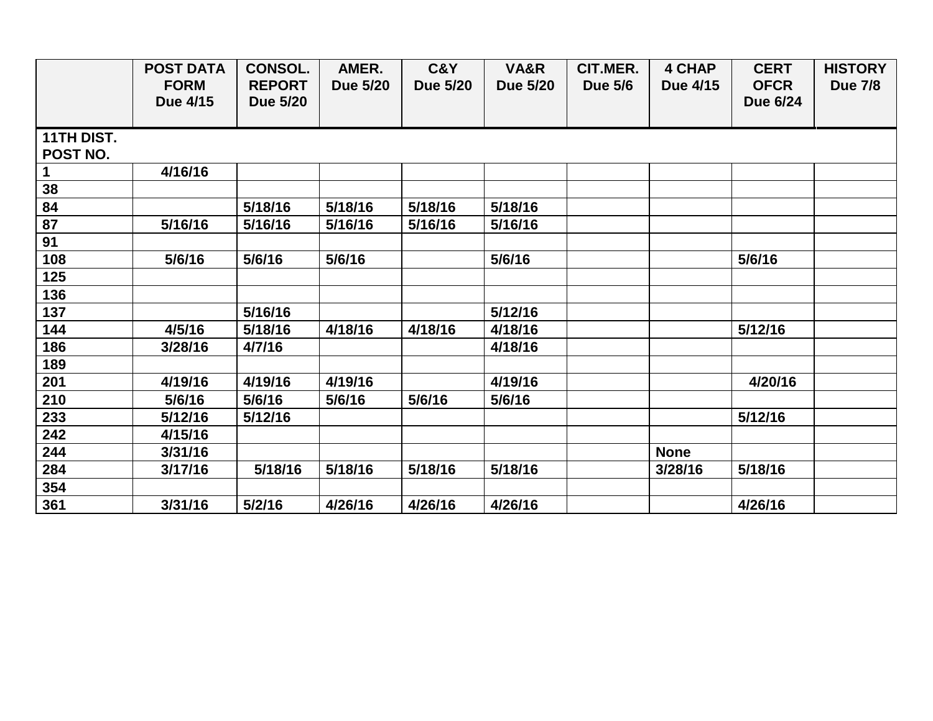|                        | <b>POST DATA</b><br><b>FORM</b> | <b>CONSOL.</b>                   | AMER.           | C&Y             | VA&R            | CIT.MER.       | <b>4 CHAP</b> | <b>CERT</b><br><b>OFCR</b> | <b>HISTORY</b> |
|------------------------|---------------------------------|----------------------------------|-----------------|-----------------|-----------------|----------------|---------------|----------------------------|----------------|
|                        | Due 4/15                        | <b>REPORT</b><br><b>Due 5/20</b> | <b>Due 5/20</b> | <b>Due 5/20</b> | <b>Due 5/20</b> | <b>Due 5/6</b> | Due 4/15      | Due 6/24                   | <b>Due 7/8</b> |
| 11TH DIST.<br>POST NO. |                                 |                                  |                 |                 |                 |                |               |                            |                |
|                        | 4/16/16                         |                                  |                 |                 |                 |                |               |                            |                |
| 38                     |                                 |                                  |                 |                 |                 |                |               |                            |                |
| 84                     |                                 | 5/18/16                          | 5/18/16         | 5/18/16         | 5/18/16         |                |               |                            |                |
| 87                     | 5/16/16                         | 5/16/16                          | 5/16/16         | 5/16/16         | 5/16/16         |                |               |                            |                |
| 91                     |                                 |                                  |                 |                 |                 |                |               |                            |                |
| 108                    | 5/6/16                          | 5/6/16                           | 5/6/16          |                 | 5/6/16          |                |               | 5/6/16                     |                |
| 125                    |                                 |                                  |                 |                 |                 |                |               |                            |                |
| 136                    |                                 |                                  |                 |                 |                 |                |               |                            |                |
| 137                    |                                 | 5/16/16                          |                 |                 | 5/12/16         |                |               |                            |                |
| 144                    | 4/5/16                          | 5/18/16                          | 4/18/16         | 4/18/16         | 4/18/16         |                |               | 5/12/16                    |                |
| 186                    | 3/28/16                         | 4/7/16                           |                 |                 | 4/18/16         |                |               |                            |                |
| 189                    |                                 |                                  |                 |                 |                 |                |               |                            |                |
| 201                    | 4/19/16                         | 4/19/16                          | 4/19/16         |                 | 4/19/16         |                |               | 4/20/16                    |                |
| 210                    | 5/6/16                          | 5/6/16                           | 5/6/16          | 5/6/16          | 5/6/16          |                |               |                            |                |
| 233                    | 5/12/16                         | 5/12/16                          |                 |                 |                 |                |               | 5/12/16                    |                |
| 242                    | 4/15/16                         |                                  |                 |                 |                 |                |               |                            |                |
| 244                    | 3/31/16                         |                                  |                 |                 |                 |                | <b>None</b>   |                            |                |
| 284                    | 3/17/16                         | 5/18/16                          | 5/18/16         | 5/18/16         | 5/18/16         |                | 3/28/16       | 5/18/16                    |                |
| 354                    |                                 |                                  |                 |                 |                 |                |               |                            |                |
| 361                    | 3/31/16                         | 5/2/16                           | 4/26/16         | 4/26/16         | 4/26/16         |                |               | 4/26/16                    |                |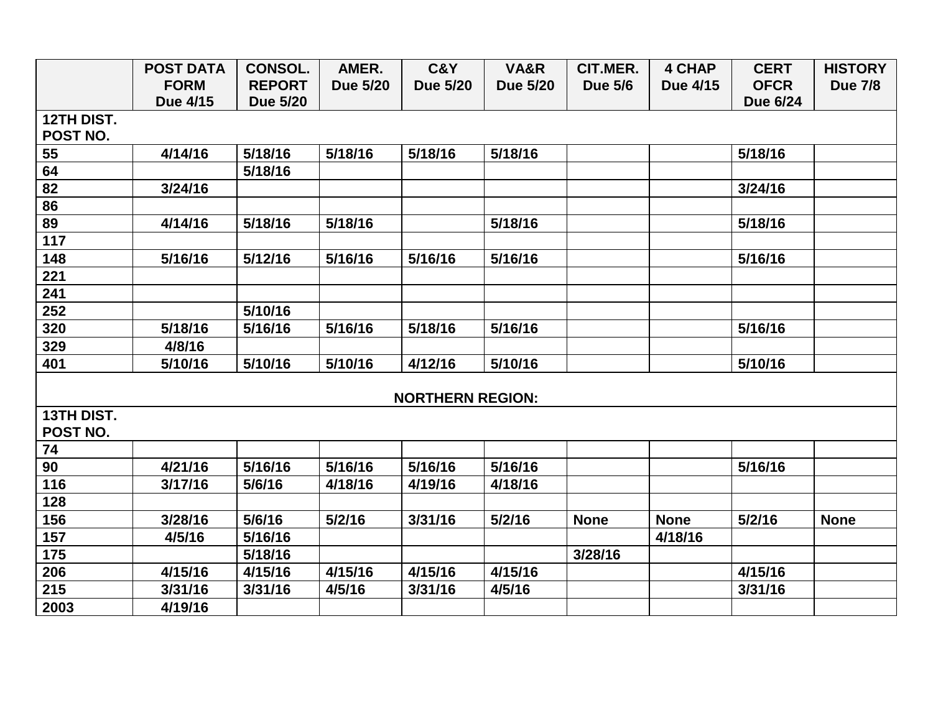|            | <b>POST DATA</b> | <b>CONSOL.</b>  | AMER.           | C&Y                     | VA&R            | CIT.MER.       | <b>4 CHAP</b> | <b>CERT</b> | <b>HISTORY</b> |
|------------|------------------|-----------------|-----------------|-------------------------|-----------------|----------------|---------------|-------------|----------------|
|            | <b>FORM</b>      | <b>REPORT</b>   | <b>Due 5/20</b> | <b>Due 5/20</b>         | <b>Due 5/20</b> | <b>Due 5/6</b> | Due 4/15      | <b>OFCR</b> | <b>Due 7/8</b> |
|            | Due 4/15         | <b>Due 5/20</b> |                 |                         |                 |                |               | Due 6/24    |                |
| 12TH DIST. |                  |                 |                 |                         |                 |                |               |             |                |
| POST NO.   |                  |                 |                 |                         |                 |                |               |             |                |
| 55         | 4/14/16          | 5/18/16         | 5/18/16         | 5/18/16                 | 5/18/16         |                |               | 5/18/16     |                |
| 64         |                  | 5/18/16         |                 |                         |                 |                |               |             |                |
| 82         | 3/24/16          |                 |                 |                         |                 |                |               | 3/24/16     |                |
| 86         |                  |                 |                 |                         |                 |                |               |             |                |
| 89         | 4/14/16          | 5/18/16         | 5/18/16         |                         | 5/18/16         |                |               | 5/18/16     |                |
| 117        |                  |                 |                 |                         |                 |                |               |             |                |
| 148        | 5/16/16          | 5/12/16         | 5/16/16         | 5/16/16                 | 5/16/16         |                |               | 5/16/16     |                |
| 221        |                  |                 |                 |                         |                 |                |               |             |                |
| 241        |                  |                 |                 |                         |                 |                |               |             |                |
| 252        |                  | 5/10/16         |                 |                         |                 |                |               |             |                |
| 320        | 5/18/16          | 5/16/16         | 5/16/16         | 5/18/16                 | 5/16/16         |                |               | 5/16/16     |                |
| 329        | 4/8/16           |                 |                 |                         |                 |                |               |             |                |
| 401        | 5/10/16          | 5/10/16         | 5/10/16         | 4/12/16                 | 5/10/16         |                |               | 5/10/16     |                |
|            |                  |                 |                 |                         |                 |                |               |             |                |
|            |                  |                 |                 | <b>NORTHERN REGION:</b> |                 |                |               |             |                |
| 13TH DIST. |                  |                 |                 |                         |                 |                |               |             |                |
| POST NO.   |                  |                 |                 |                         |                 |                |               |             |                |
| 74         |                  |                 |                 |                         |                 |                |               |             |                |
| 90         | 4/21/16          | 5/16/16         | 5/16/16         | 5/16/16                 | 5/16/16         |                |               | 5/16/16     |                |
| 116        | 3/17/16          | 5/6/16          | 4/18/16         | 4/19/16                 | 4/18/16         |                |               |             |                |
| 128        |                  |                 |                 |                         |                 |                |               |             |                |
| 156        | 3/28/16          | 5/6/16          | 5/2/16          | 3/31/16                 | 5/2/16          | <b>None</b>    | <b>None</b>   | 5/2/16      | <b>None</b>    |
| 157        | 4/5/16           | 5/16/16         |                 |                         |                 |                | 4/18/16       |             |                |
| 175        |                  | 5/18/16         |                 |                         |                 | 3/28/16        |               |             |                |
| 206        | 4/15/16          | 4/15/16         | 4/15/16         | 4/15/16                 | 4/15/16         |                |               | 4/15/16     |                |
| 215        | 3/31/16          | 3/31/16         | 4/5/16          | 3/31/16                 | 4/5/16          |                |               | 3/31/16     |                |
| 2003       | 4/19/16          |                 |                 |                         |                 |                |               |             |                |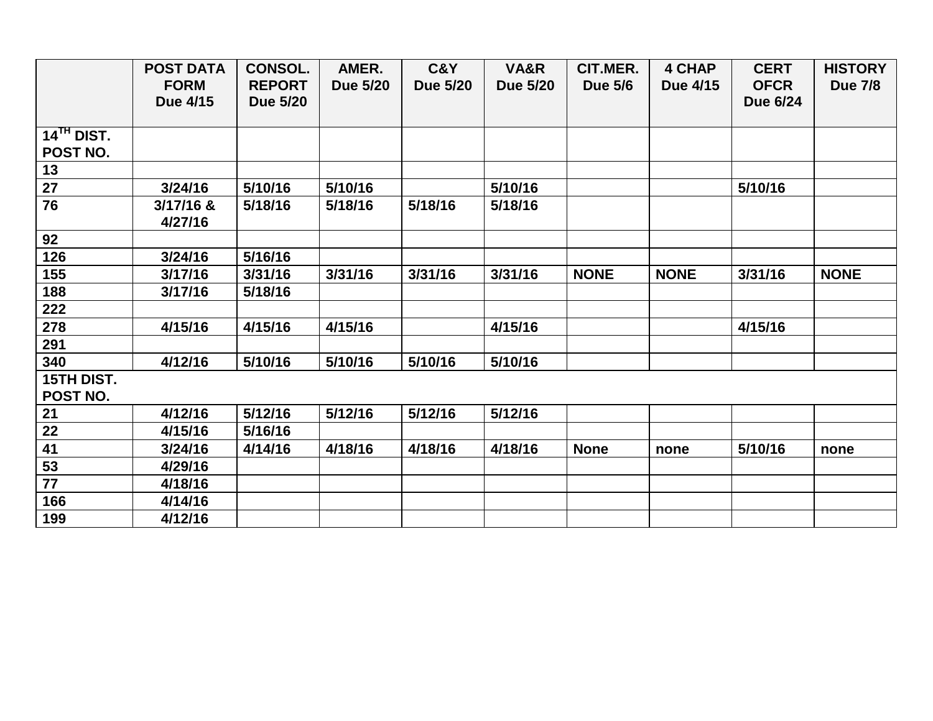|                          | <b>POST DATA</b> | <b>CONSOL.</b>  | AMER.           | C&Y             | VA&R            | CIT.MER.       | <b>4 CHAP</b> | <b>CERT</b> | <b>HISTORY</b> |
|--------------------------|------------------|-----------------|-----------------|-----------------|-----------------|----------------|---------------|-------------|----------------|
|                          | <b>FORM</b>      | <b>REPORT</b>   | <b>Due 5/20</b> | <b>Due 5/20</b> | <b>Due 5/20</b> | <b>Due 5/6</b> | Due 4/15      | <b>OFCR</b> | <b>Due 7/8</b> |
|                          | Due 4/15         | <b>Due 5/20</b> |                 |                 |                 |                |               | Due 6/24    |                |
|                          |                  |                 |                 |                 |                 |                |               |             |                |
| $14$ <sup>TH</sup> DIST. |                  |                 |                 |                 |                 |                |               |             |                |
| POST NO.                 |                  |                 |                 |                 |                 |                |               |             |                |
| 13                       |                  |                 |                 |                 |                 |                |               |             |                |
| 27                       | 3/24/16          | 5/10/16         | 5/10/16         |                 | 5/10/16         |                |               | 5/10/16     |                |
| 76                       | 3/17/16 &        | 5/18/16         | 5/18/16         | 5/18/16         | 5/18/16         |                |               |             |                |
|                          | 4/27/16          |                 |                 |                 |                 |                |               |             |                |
| 92                       |                  |                 |                 |                 |                 |                |               |             |                |
| 126                      | 3/24/16          | 5/16/16         |                 |                 |                 |                |               |             |                |
| 155                      | 3/17/16          | 3/31/16         | 3/31/16         | 3/31/16         | 3/31/16         | <b>NONE</b>    | <b>NONE</b>   | 3/31/16     | <b>NONE</b>    |
| 188                      | 3/17/16          | 5/18/16         |                 |                 |                 |                |               |             |                |
| 222                      |                  |                 |                 |                 |                 |                |               |             |                |
| 278                      | 4/15/16          | 4/15/16         | 4/15/16         |                 | 4/15/16         |                |               | 4/15/16     |                |
| 291                      |                  |                 |                 |                 |                 |                |               |             |                |
| 340                      | 4/12/16          | 5/10/16         | 5/10/16         | 5/10/16         | 5/10/16         |                |               |             |                |
| <b>15TH DIST.</b>        |                  |                 |                 |                 |                 |                |               |             |                |
| POST NO.                 |                  |                 |                 |                 |                 |                |               |             |                |
| 21                       | 4/12/16          | 5/12/16         | 5/12/16         | 5/12/16         | 5/12/16         |                |               |             |                |
| 22                       | 4/15/16          | 5/16/16         |                 |                 |                 |                |               |             |                |
| 41                       | 3/24/16          | 4/14/16         | 4/18/16         | 4/18/16         | 4/18/16         | <b>None</b>    | none          | 5/10/16     | none           |
| 53                       | 4/29/16          |                 |                 |                 |                 |                |               |             |                |
| $\overline{77}$          | 4/18/16          |                 |                 |                 |                 |                |               |             |                |
| 166                      | 4/14/16          |                 |                 |                 |                 |                |               |             |                |
| 199                      | 4/12/16          |                 |                 |                 |                 |                |               |             |                |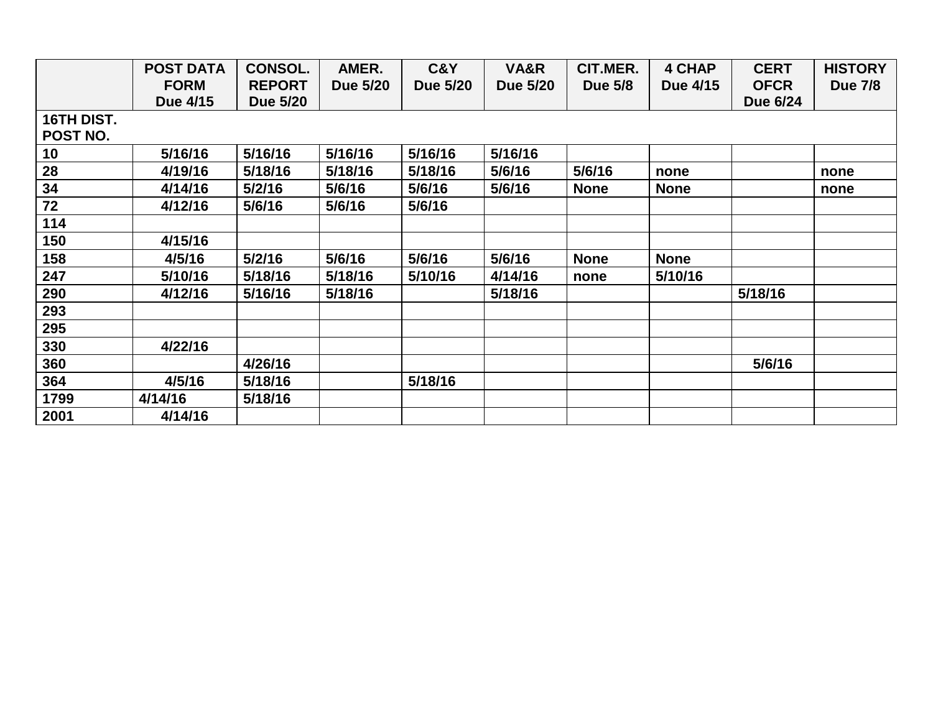|            | <b>POST DATA</b> | <b>CONSOL.</b> | AMER.           | C&Y             | VA&R            | CIT.MER.       | 4 CHAP      | <b>CERT</b> | <b>HISTORY</b> |
|------------|------------------|----------------|-----------------|-----------------|-----------------|----------------|-------------|-------------|----------------|
|            | <b>FORM</b>      | <b>REPORT</b>  | <b>Due 5/20</b> | <b>Due 5/20</b> | <b>Due 5/20</b> | <b>Due 5/8</b> | Due 4/15    | <b>OFCR</b> | <b>Due 7/8</b> |
|            | Due 4/15         | Due 5/20       |                 |                 |                 |                |             | Due 6/24    |                |
| 16TH DIST. |                  |                |                 |                 |                 |                |             |             |                |
| POST NO.   |                  |                |                 |                 |                 |                |             |             |                |
| 10         | 5/16/16          | 5/16/16        | 5/16/16         | 5/16/16         | 5/16/16         |                |             |             |                |
| 28         | 4/19/16          | 5/18/16        | 5/18/16         | 5/18/16         | 5/6/16          | 5/6/16         | none        |             | none           |
| 34         | 4/14/16          | 5/2/16         | 5/6/16          | 5/6/16          | 5/6/16          | <b>None</b>    | <b>None</b> |             | none           |
| 72         | 4/12/16          | 5/6/16         | 5/6/16          | 5/6/16          |                 |                |             |             |                |
| 114        |                  |                |                 |                 |                 |                |             |             |                |
| 150        | 4/15/16          |                |                 |                 |                 |                |             |             |                |
| 158        | 4/5/16           | 5/2/16         | 5/6/16          | 5/6/16          | 5/6/16          | <b>None</b>    | <b>None</b> |             |                |
| 247        | 5/10/16          | 5/18/16        | 5/18/16         | 5/10/16         | 4/14/16         | none           | 5/10/16     |             |                |
| 290        | 4/12/16          | 5/16/16        | 5/18/16         |                 | 5/18/16         |                |             | 5/18/16     |                |
| 293        |                  |                |                 |                 |                 |                |             |             |                |
| 295        |                  |                |                 |                 |                 |                |             |             |                |
| 330        | 4/22/16          |                |                 |                 |                 |                |             |             |                |
| 360        |                  | 4/26/16        |                 |                 |                 |                |             | 5/6/16      |                |
| 364        | 4/5/16           | 5/18/16        |                 | 5/18/16         |                 |                |             |             |                |
| 1799       | 4/14/16          | 5/18/16        |                 |                 |                 |                |             |             |                |
| 2001       | 4/14/16          |                |                 |                 |                 |                |             |             |                |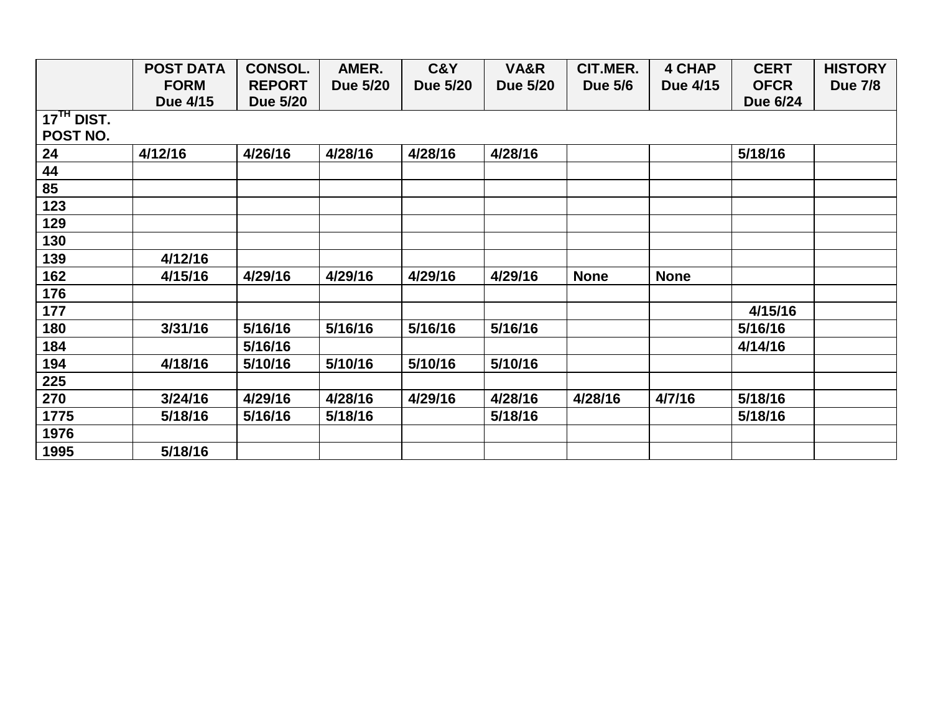|              | <b>POST DATA</b> | <b>CONSOL.</b> | AMER.    | C&Y             | VA&R     | CIT.MER.       | <b>4 CHAP</b> | <b>CERT</b> | <b>HISTORY</b> |
|--------------|------------------|----------------|----------|-----------------|----------|----------------|---------------|-------------|----------------|
|              | <b>FORM</b>      | <b>REPORT</b>  | Due 5/20 | <b>Due 5/20</b> | Due 5/20 | <b>Due 5/6</b> | Due 4/15      | <b>OFCR</b> | <b>Due 7/8</b> |
|              | Due 4/15         | Due 5/20       |          |                 |          |                |               | Due 6/24    |                |
| $17TH$ DIST. |                  |                |          |                 |          |                |               |             |                |
| POST NO.     |                  |                |          |                 |          |                |               |             |                |
| 24           | 4/12/16          | 4/26/16        | 4/28/16  | 4/28/16         | 4/28/16  |                |               | 5/18/16     |                |
| 44           |                  |                |          |                 |          |                |               |             |                |
| 85           |                  |                |          |                 |          |                |               |             |                |
| 123          |                  |                |          |                 |          |                |               |             |                |
| 129          |                  |                |          |                 |          |                |               |             |                |
| 130          |                  |                |          |                 |          |                |               |             |                |
| 139          | 4/12/16          |                |          |                 |          |                |               |             |                |
| 162          | 4/15/16          | 4/29/16        | 4/29/16  | 4/29/16         | 4/29/16  | <b>None</b>    | <b>None</b>   |             |                |
| 176          |                  |                |          |                 |          |                |               |             |                |
| 177          |                  |                |          |                 |          |                |               | 4/15/16     |                |
| 180          | 3/31/16          | 5/16/16        | 5/16/16  | 5/16/16         | 5/16/16  |                |               | 5/16/16     |                |
| 184          |                  | 5/16/16        |          |                 |          |                |               | 4/14/16     |                |
| 194          | 4/18/16          | 5/10/16        | 5/10/16  | 5/10/16         | 5/10/16  |                |               |             |                |
| 225          |                  |                |          |                 |          |                |               |             |                |
| 270          | 3/24/16          | 4/29/16        | 4/28/16  | 4/29/16         | 4/28/16  | 4/28/16        | 4/7/16        | 5/18/16     |                |
| 1775         | 5/18/16          | 5/16/16        | 5/18/16  |                 | 5/18/16  |                |               | 5/18/16     |                |
| 1976         |                  |                |          |                 |          |                |               |             |                |
| 1995         | 5/18/16          |                |          |                 |          |                |               |             |                |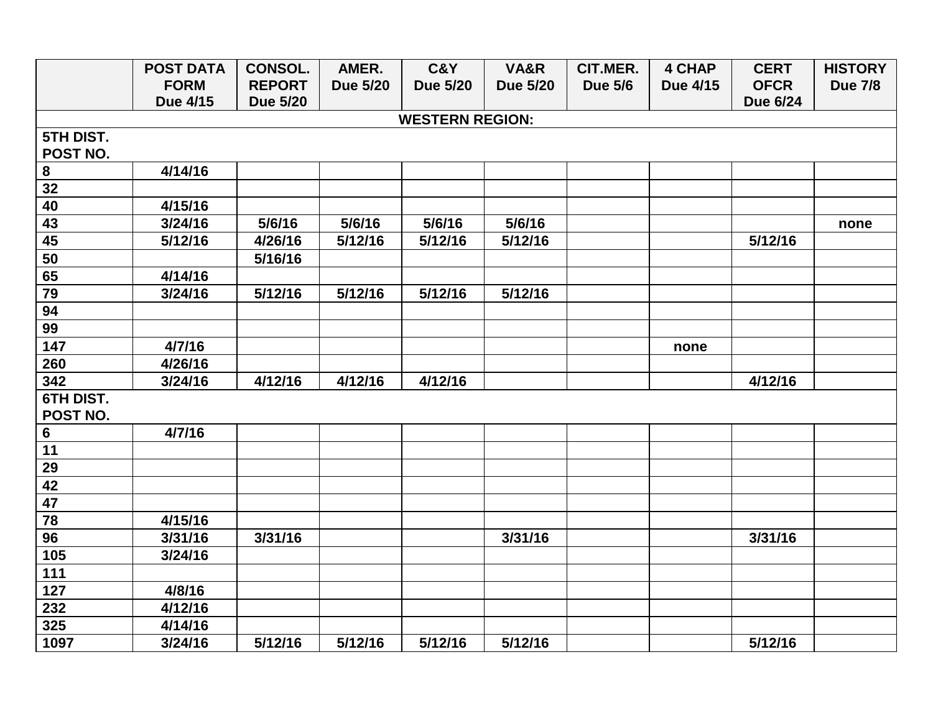|                  | <b>POST DATA</b> | <b>CONSOL.</b>  | AMER.           | C&Y                    | VA&R            | CIT.MER.       | <b>4 CHAP</b> | <b>CERT</b>     | <b>HISTORY</b> |
|------------------|------------------|-----------------|-----------------|------------------------|-----------------|----------------|---------------|-----------------|----------------|
|                  | <b>FORM</b>      | <b>REPORT</b>   | <b>Due 5/20</b> | <b>Due 5/20</b>        | <b>Due 5/20</b> | <b>Due 5/6</b> | Due 4/15      | <b>OFCR</b>     | <b>Due 7/8</b> |
|                  | Due 4/15         | <b>Due 5/20</b> |                 |                        |                 |                |               | <b>Due 6/24</b> |                |
|                  |                  |                 |                 | <b>WESTERN REGION:</b> |                 |                |               |                 |                |
| 5TH DIST.        |                  |                 |                 |                        |                 |                |               |                 |                |
| POST NO.         |                  |                 |                 |                        |                 |                |               |                 |                |
| 8                | 4/14/16          |                 |                 |                        |                 |                |               |                 |                |
| 32               |                  |                 |                 |                        |                 |                |               |                 |                |
| 40               | 4/15/16          |                 |                 |                        |                 |                |               |                 |                |
| 43               | 3/24/16          | 5/6/16          | 5/6/16          | 5/6/16                 | 5/6/16          |                |               |                 | none           |
| 45               | 5/12/16          | 4/26/16         | 5/12/16         | 5/12/16                | 5/12/16         |                |               | 5/12/16         |                |
| 50               |                  | 5/16/16         |                 |                        |                 |                |               |                 |                |
| 65               | 4/14/16          |                 |                 |                        |                 |                |               |                 |                |
| 79               | 3/24/16          | 5/12/16         | 5/12/16         | 5/12/16                | 5/12/16         |                |               |                 |                |
| 94               |                  |                 |                 |                        |                 |                |               |                 |                |
| 99               |                  |                 |                 |                        |                 |                |               |                 |                |
| 147              | 4/7/16           |                 |                 |                        |                 |                | none          |                 |                |
| 260              | 4/26/16          |                 |                 |                        |                 |                |               |                 |                |
| 342              | 3/24/16          | 4/12/16         | 4/12/16         | 4/12/16                |                 |                |               | 4/12/16         |                |
| <b>6TH DIST.</b> |                  |                 |                 |                        |                 |                |               |                 |                |
| POST NO.         |                  |                 |                 |                        |                 |                |               |                 |                |
| 6                | 4/7/16           |                 |                 |                        |                 |                |               |                 |                |
| 11               |                  |                 |                 |                        |                 |                |               |                 |                |
| 29               |                  |                 |                 |                        |                 |                |               |                 |                |
| 42               |                  |                 |                 |                        |                 |                |               |                 |                |
| $\overline{47}$  |                  |                 |                 |                        |                 |                |               |                 |                |
| 78               | 4/15/16          |                 |                 |                        |                 |                |               |                 |                |
| 96               | 3/31/16          | 3/31/16         |                 |                        | 3/31/16         |                |               | 3/31/16         |                |
| 105              | 3/24/16          |                 |                 |                        |                 |                |               |                 |                |
| 111              |                  |                 |                 |                        |                 |                |               |                 |                |
| 127              | 4/8/16           |                 |                 |                        |                 |                |               |                 |                |
| 232              | 4/12/16          |                 |                 |                        |                 |                |               |                 |                |
| 325              | 4/14/16          |                 |                 |                        |                 |                |               |                 |                |
| 1097             | 3/24/16          | 5/12/16         | 5/12/16         | 5/12/16                | 5/12/16         |                |               | 5/12/16         |                |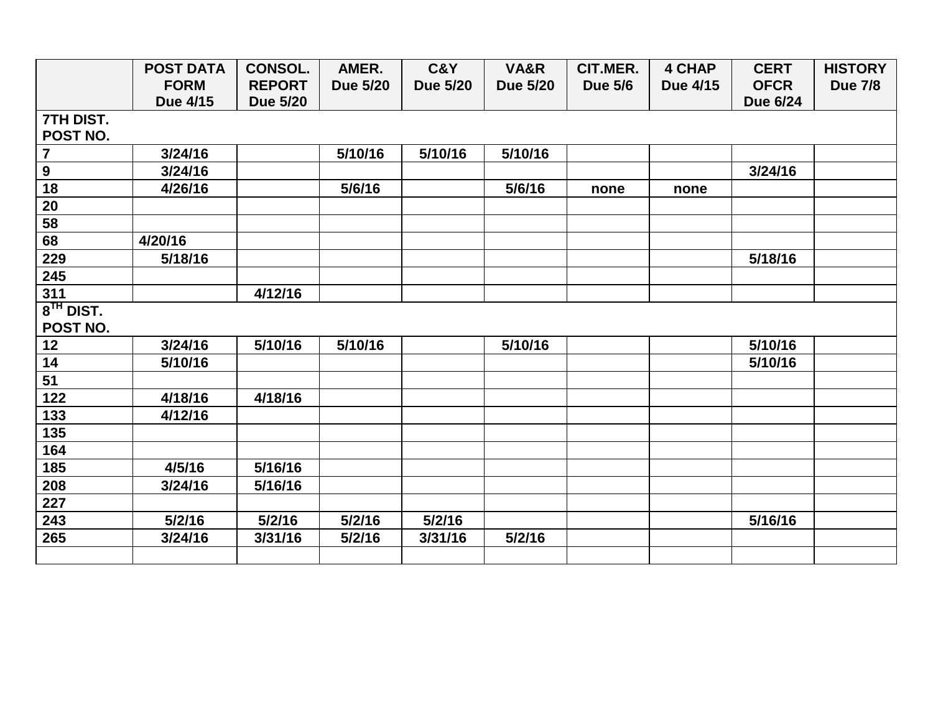|                | <b>POST DATA</b> | <b>CONSOL.</b>  | AMER.           | C&Y             | VA&R            | CIT.MER.       | <b>4 CHAP</b> | <b>CERT</b>     | <b>HISTORY</b> |
|----------------|------------------|-----------------|-----------------|-----------------|-----------------|----------------|---------------|-----------------|----------------|
|                | <b>FORM</b>      | <b>REPORT</b>   | <b>Due 5/20</b> | <b>Due 5/20</b> | <b>Due 5/20</b> | <b>Due 5/6</b> | Due 4/15      | <b>OFCR</b>     | <b>Due 7/8</b> |
|                | Due 4/15         | <b>Due 5/20</b> |                 |                 |                 |                |               | <b>Due 6/24</b> |                |
| 7TH DIST.      |                  |                 |                 |                 |                 |                |               |                 |                |
| POST NO.       |                  |                 |                 |                 |                 |                |               |                 |                |
| $\overline{7}$ | 3/24/16          |                 | 5/10/16         | 5/10/16         | 5/10/16         |                |               |                 |                |
| $\overline{9}$ | 3/24/16          |                 |                 |                 |                 |                |               | 3/24/16         |                |
| 18             | 4/26/16          |                 | 5/6/16          |                 | 5/6/16          | none           | none          |                 |                |
| 20             |                  |                 |                 |                 |                 |                |               |                 |                |
| 58             |                  |                 |                 |                 |                 |                |               |                 |                |
| 68             | 4/20/16          |                 |                 |                 |                 |                |               |                 |                |
| 229            | 5/18/16          |                 |                 |                 |                 |                |               | 5/18/16         |                |
| 245            |                  |                 |                 |                 |                 |                |               |                 |                |
| 311            |                  | 4/12/16         |                 |                 |                 |                |               |                 |                |
| $8TH$ DIST.    |                  |                 |                 |                 |                 |                |               |                 |                |
| POST NO.       |                  |                 |                 |                 |                 |                |               |                 |                |
| 12             | 3/24/16          | 5/10/16         | 5/10/16         |                 | 5/10/16         |                |               | 5/10/16         |                |
| 14             | 5/10/16          |                 |                 |                 |                 |                |               | 5/10/16         |                |
| 51             |                  |                 |                 |                 |                 |                |               |                 |                |
| 122            | 4/18/16          | 4/18/16         |                 |                 |                 |                |               |                 |                |
| 133            | 4/12/16          |                 |                 |                 |                 |                |               |                 |                |
| 135            |                  |                 |                 |                 |                 |                |               |                 |                |
| 164            |                  |                 |                 |                 |                 |                |               |                 |                |
| 185            | 4/5/16           | 5/16/16         |                 |                 |                 |                |               |                 |                |
| 208            | 3/24/16          | 5/16/16         |                 |                 |                 |                |               |                 |                |
| 227            |                  |                 |                 |                 |                 |                |               |                 |                |
| 243            | 5/2/16           | 5/2/16          | 5/2/16          | 5/2/16          |                 |                |               | 5/16/16         |                |
| 265            | 3/24/16          | 3/31/16         | 5/2/16          | 3/31/16         | 5/2/16          |                |               |                 |                |
|                |                  |                 |                 |                 |                 |                |               |                 |                |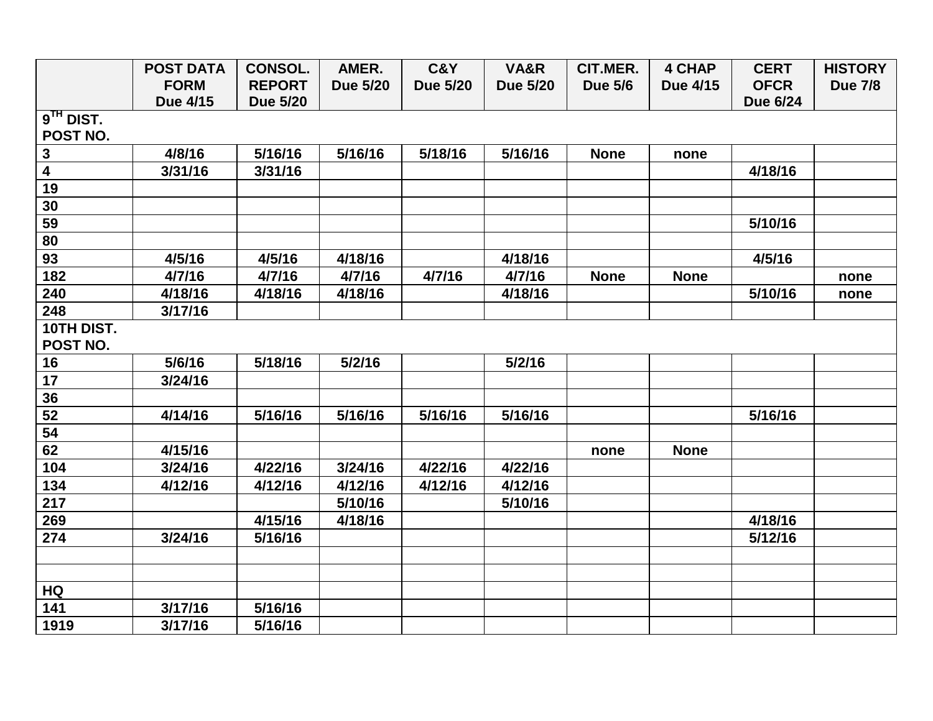|                         | <b>POST DATA</b> | <b>CONSOL.</b>  | AMER.           | C&Y             | VA&R            | CIT.MER.       | <b>4 CHAP</b> | <b>CERT</b>     | <b>HISTORY</b> |
|-------------------------|------------------|-----------------|-----------------|-----------------|-----------------|----------------|---------------|-----------------|----------------|
|                         | <b>FORM</b>      | <b>REPORT</b>   | <b>Due 5/20</b> | <b>Due 5/20</b> | <b>Due 5/20</b> | <b>Due 5/6</b> | Due 4/15      | <b>OFCR</b>     | <b>Due 7/8</b> |
|                         | Due 4/15         | <b>Due 5/20</b> |                 |                 |                 |                |               | <b>Due 6/24</b> |                |
| $9TH$ DIST.             |                  |                 |                 |                 |                 |                |               |                 |                |
| POST NO.                |                  |                 |                 |                 |                 |                |               |                 |                |
| $\mathbf{3}$            | 4/8/16           | 5/16/16         | 5/16/16         | 5/18/16         | 5/16/16         | <b>None</b>    | none          |                 |                |
| $\overline{\mathbf{4}}$ | 3/31/16          | 3/31/16         |                 |                 |                 |                |               | 4/18/16         |                |
| 19                      |                  |                 |                 |                 |                 |                |               |                 |                |
| 30                      |                  |                 |                 |                 |                 |                |               |                 |                |
| 59                      |                  |                 |                 |                 |                 |                |               | 5/10/16         |                |
| 80                      |                  |                 |                 |                 |                 |                |               |                 |                |
| 93                      | 4/5/16           | 4/5/16          | 4/18/16         |                 | 4/18/16         |                |               | 4/5/16          |                |
| 182                     | 4/7/16           | 4/7/16          | 4/7/16          | 4/7/16          | 4/7/16          | <b>None</b>    | <b>None</b>   |                 | none           |
| 240                     | 4/18/16          | 4/18/16         | 4/18/16         |                 | 4/18/16         |                |               | 5/10/16         | none           |
| 248                     | 3/17/16          |                 |                 |                 |                 |                |               |                 |                |
| 10TH DIST.              |                  |                 |                 |                 |                 |                |               |                 |                |
| POST NO.                |                  |                 |                 |                 |                 |                |               |                 |                |
| 16                      | 5/6/16           | 5/18/16         | 5/2/16          |                 | 5/2/16          |                |               |                 |                |
| 17                      | 3/24/16          |                 |                 |                 |                 |                |               |                 |                |
| 36                      |                  |                 |                 |                 |                 |                |               |                 |                |
| 52                      | 4/14/16          | 5/16/16         | 5/16/16         | 5/16/16         | 5/16/16         |                |               | 5/16/16         |                |
| 54                      |                  |                 |                 |                 |                 |                |               |                 |                |
| 62                      | 4/15/16          |                 |                 |                 |                 | none           | <b>None</b>   |                 |                |
| 104                     | 3/24/16          | 4/22/16         | 3/24/16         | 4/22/16         | 4/22/16         |                |               |                 |                |
| 134                     | 4/12/16          | 4/12/16         | 4/12/16         | 4/12/16         | 4/12/16         |                |               |                 |                |
| 217                     |                  |                 | 5/10/16         |                 | 5/10/16         |                |               |                 |                |
| 269                     |                  | 4/15/16         | 4/18/16         |                 |                 |                |               | 4/18/16         |                |
| 274                     | 3/24/16          | 5/16/16         |                 |                 |                 |                |               | 5/12/16         |                |
|                         |                  |                 |                 |                 |                 |                |               |                 |                |
|                         |                  |                 |                 |                 |                 |                |               |                 |                |
| HQ                      |                  |                 |                 |                 |                 |                |               |                 |                |
| 141                     | 3/17/16          | 5/16/16         |                 |                 |                 |                |               |                 |                |
| 1919                    | 3/17/16          | 5/16/16         |                 |                 |                 |                |               |                 |                |